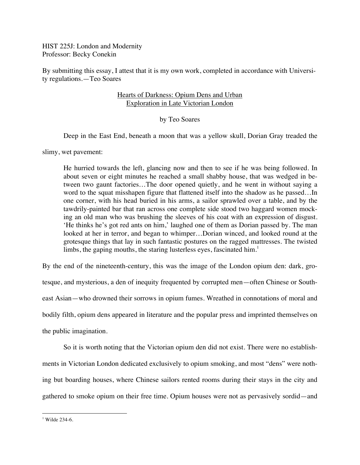HIST 225J: London and Modernity Professor: Becky Conekin

By submitting this essay, I attest that it is my own work, completed in accordance with University regulations.—Teo Soares

# Hearts of Darkness: Opium Dens and Urban Exploration in Late Victorian London

# by Teo Soares

Deep in the East End, beneath a moon that was a yellow skull, Dorian Gray treaded the

slimy, wet pavement:

He hurried towards the left, glancing now and then to see if he was being followed. In about seven or eight minutes he reached a small shabby house, that was wedged in between two gaunt factories…The door opened quietly, and he went in without saying a word to the squat misshapen figure that flattened itself into the shadow as he passed…In one corner, with his head buried in his arms, a sailor sprawled over a table, and by the tawdrily-painted bar that ran across one complete side stood two haggard women mocking an old man who was brushing the sleeves of his coat with an expression of disgust. 'He thinks he's got red ants on him,' laughed one of them as Dorian passed by. The man looked at her in terror, and began to whimper…Dorian winced, and looked round at the grotesque things that lay in such fantastic postures on the ragged mattresses. The twisted limbs, the gaping mouths, the staring lusterless eyes, fascinated  $\text{him.}^1$ 

By the end of the nineteenth-century, this was the image of the London opium den: dark, grotesque, and mysterious, a den of inequity frequented by corrupted men—often Chinese or Southeast Asian—who drowned their sorrows in opium fumes. Wreathed in connotations of moral and bodily filth, opium dens appeared in literature and the popular press and imprinted themselves on the public imagination.

So it is worth noting that the Victorian opium den did not exist. There were no establishments in Victorian London dedicated exclusively to opium smoking, and most "dens" were nothing but boarding houses, where Chinese sailors rented rooms during their stays in the city and gathered to smoke opium on their free time. Opium houses were not as pervasively sordid—and

  $1$  Wilde 234-6.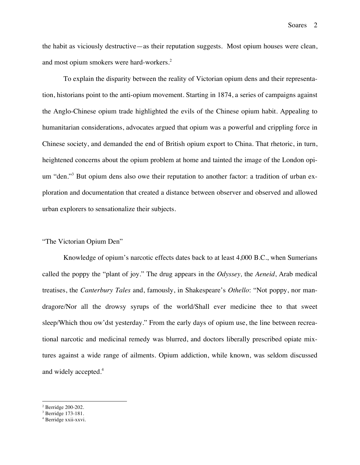the habit as viciously destructive—as their reputation suggests. Most opium houses were clean, and most opium smokers were hard-workers.<sup>2</sup>

To explain the disparity between the reality of Victorian opium dens and their representation, historians point to the anti-opium movement. Starting in 1874, a series of campaigns against the Anglo-Chinese opium trade highlighted the evils of the Chinese opium habit. Appealing to humanitarian considerations, advocates argued that opium was a powerful and crippling force in Chinese society, and demanded the end of British opium export to China. That rhetoric, in turn, heightened concerns about the opium problem at home and tainted the image of the London opium "den."<sup>3</sup> But opium dens also owe their reputation to another factor: a tradition of urban exploration and documentation that created a distance between observer and observed and allowed urban explorers to sensationalize their subjects.

#### "The Victorian Opium Den"

Knowledge of opium's narcotic effects dates back to at least 4,000 B.C., when Sumerians called the poppy the "plant of joy." The drug appears in the *Odyssey,* the *Aeneid*, Arab medical treatises, the *Canterbury Tales* and, famously, in Shakespeare's *Othello*: "Not poppy, nor mandragore/Nor all the drowsy syrups of the world/Shall ever medicine thee to that sweet sleep/Which thou ow'dst yesterday." From the early days of opium use, the line between recreational narcotic and medicinal remedy was blurred, and doctors liberally prescribed opiate mixtures against a wide range of ailments. Opium addiction, while known, was seldom discussed and widely accepted.<sup>4</sup>

<sup>2</sup> Berridge 200-202.

<sup>3</sup> Berridge 173-181.

<sup>4</sup> Berridge xxii-xxvi.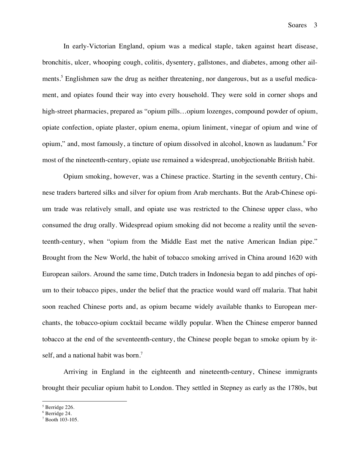In early-Victorian England, opium was a medical staple, taken against heart disease, bronchitis, ulcer, whooping cough, colitis, dysentery, gallstones, and diabetes, among other ailments.<sup>5</sup> Englishmen saw the drug as neither threatening, nor dangerous, but as a useful medicament, and opiates found their way into every household. They were sold in corner shops and high-street pharmacies, prepared as "opium pills...opium lozenges, compound powder of opium, opiate confection, opiate plaster, opium enema, opium liniment, vinegar of opium and wine of opium," and, most famously, a tincture of opium dissolved in alcohol, known as laudanum. For most of the nineteenth-century, opiate use remained a widespread, unobjectionable British habit.

Opium smoking, however, was a Chinese practice. Starting in the seventh century, Chinese traders bartered silks and silver for opium from Arab merchants. But the Arab-Chinese opium trade was relatively small, and opiate use was restricted to the Chinese upper class, who consumed the drug orally. Widespread opium smoking did not become a reality until the seventeenth-century, when "opium from the Middle East met the native American Indian pipe." Brought from the New World, the habit of tobacco smoking arrived in China around 1620 with European sailors. Around the same time, Dutch traders in Indonesia began to add pinches of opium to their tobacco pipes, under the belief that the practice would ward off malaria. That habit soon reached Chinese ports and, as opium became widely available thanks to European merchants, the tobacco-opium cocktail became wildly popular. When the Chinese emperor banned tobacco at the end of the seventeenth-century, the Chinese people began to smoke opium by itself, and a national habit was born.<sup>7</sup>

Arriving in England in the eighteenth and nineteenth-century, Chinese immigrants brought their peculiar opium habit to London. They settled in Stepney as early as the 1780s, but

<sup>5</sup> Berridge 226.

<sup>6</sup> Berridge 24.

<sup>7</sup> Booth 103-105.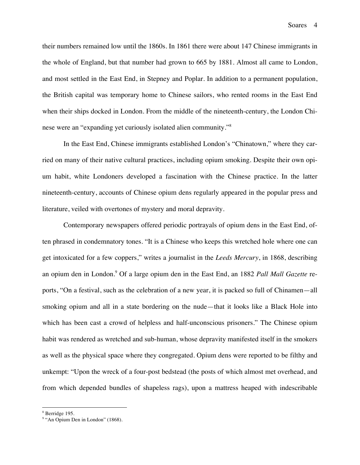their numbers remained low until the 1860s. In 1861 there were about 147 Chinese immigrants in the whole of England, but that number had grown to 665 by 1881. Almost all came to London, and most settled in the East End, in Stepney and Poplar. In addition to a permanent population, the British capital was temporary home to Chinese sailors, who rented rooms in the East End when their ships docked in London. From the middle of the nineteenth-century, the London Chinese were an "expanding yet curiously isolated alien community."<sup>8</sup>

In the East End, Chinese immigrants established London's "Chinatown," where they carried on many of their native cultural practices, including opium smoking. Despite their own opium habit, white Londoners developed a fascination with the Chinese practice. In the latter nineteenth-century, accounts of Chinese opium dens regularly appeared in the popular press and literature, veiled with overtones of mystery and moral depravity.

Contemporary newspapers offered periodic portrayals of opium dens in the East End, often phrased in condemnatory tones. "It is a Chinese who keeps this wretched hole where one can get intoxicated for a few coppers," writes a journalist in the *Leeds Mercury*, in 1868, describing an opium den in London.9 Of a large opium den in the East End, an 1882 *Pall Mall Gazette* reports, "On a festival, such as the celebration of a new year, it is packed so full of Chinamen—all smoking opium and all in a state bordering on the nude—that it looks like a Black Hole into which has been cast a crowd of helpless and half-unconscious prisoners." The Chinese opium habit was rendered as wretched and sub-human, whose depravity manifested itself in the smokers as well as the physical space where they congregated. Opium dens were reported to be filthy and unkempt: "Upon the wreck of a four-post bedstead (the posts of which almost met overhead, and from which depended bundles of shapeless rags), upon a mattress heaped with indescribable

<sup>8</sup> Berridge 195.

<sup>&</sup>lt;sup>9</sup> "An Opium Den in London" (1868).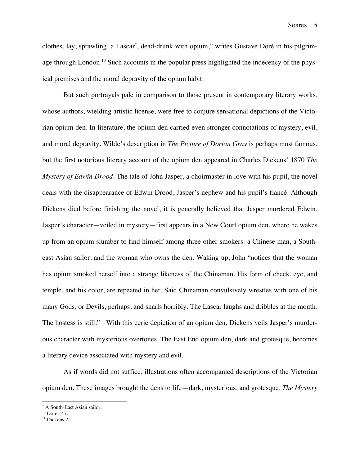Soares 5

clothes, lay, sprawling, a Lascar\* , dead-drunk with opium," writes Gustave Doré in his pilgrimage through London.<sup>10</sup> Such accounts in the popular press highlighted the indecency of the physical premises and the moral depravity of the opium habit.

But such portrayals pale in comparison to those present in contemporary literary works, whose authors, wielding artistic license, were free to conjure sensational depictions of the Victorian opium den. In literature, the opium den carried even stronger connotations of mystery, evil, and moral depravity. Wilde's description in *The Picture of Dorian Gray* is perhaps most famous, but the first notorious literary account of the opium den appeared in Charles Dickens' 1870 *The Mystery of Edwin Drood*. The tale of John Jasper, a choirmaster in love with his pupil, the novel deals with the disappearance of Edwin Drood, Jasper's nephew and his pupil's fiancé. Although Dickens died before finishing the novel, it is generally believed that Jasper murdered Edwin. Jasper's character—veiled in mystery—first appears in a New Court opium den, where he wakes up from an opium slumber to find himself among three other smokers: a Chinese man, a Southeast Asian sailor, and the woman who owns the den. Waking up, John "notices that the woman has opium smoked herself into a strange likeness of the Chinaman. His form of cheek, eye, and temple, and his color, are repeated in her. Said Chinaman convulsively wrestles with one of his many Gods, or Devils, perhaps, and snarls horribly. The Lascar laughs and dribbles at the mouth. The hostess is still."<sup>11</sup> With this eerie depiction of an opium den, Dickens veils Jasper's murderous character with mysterious overtones. The East End opium den, dark and grotesque, becomes a literary device associated with mystery and evil.

As if words did not suffice, illustrations often accompanied descriptions of the Victorian opium den. These images brought the dens to life—dark, mysterious, and grotesque. *The Mystery* 

<sup>\*</sup> A South-East Asian sailor.<br><sup>10</sup> Doré 147.<br><sup>11</sup> Dickens 2.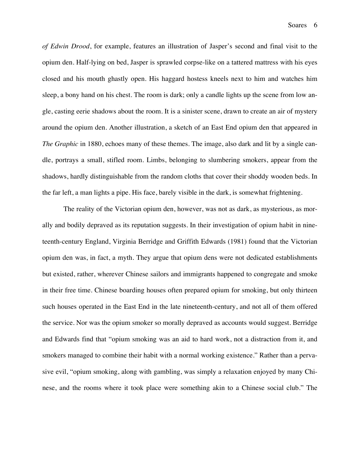*of Edwin Drood*, for example, features an illustration of Jasper's second and final visit to the opium den. Half-lying on bed, Jasper is sprawled corpse-like on a tattered mattress with his eyes closed and his mouth ghastly open. His haggard hostess kneels next to him and watches him sleep, a bony hand on his chest. The room is dark; only a candle lights up the scene from low angle, casting eerie shadows about the room. It is a sinister scene, drawn to create an air of mystery around the opium den. Another illustration, a sketch of an East End opium den that appeared in *The Graphic* in 1880, echoes many of these themes. The image, also dark and lit by a single candle, portrays a small, stifled room. Limbs, belonging to slumbering smokers, appear from the shadows, hardly distinguishable from the random cloths that cover their shoddy wooden beds. In the far left, a man lights a pipe. His face, barely visible in the dark, is somewhat frightening.

The reality of the Victorian opium den, however, was not as dark, as mysterious, as morally and bodily depraved as its reputation suggests. In their investigation of opium habit in nineteenth-century England, Virginia Berridge and Griffith Edwards (1981) found that the Victorian opium den was, in fact, a myth. They argue that opium dens were not dedicated establishments but existed, rather, wherever Chinese sailors and immigrants happened to congregate and smoke in their free time. Chinese boarding houses often prepared opium for smoking, but only thirteen such houses operated in the East End in the late nineteenth-century, and not all of them offered the service. Nor was the opium smoker so morally depraved as accounts would suggest. Berridge and Edwards find that "opium smoking was an aid to hard work, not a distraction from it, and smokers managed to combine their habit with a normal working existence." Rather than a pervasive evil, "opium smoking, along with gambling, was simply a relaxation enjoyed by many Chinese, and the rooms where it took place were something akin to a Chinese social club." The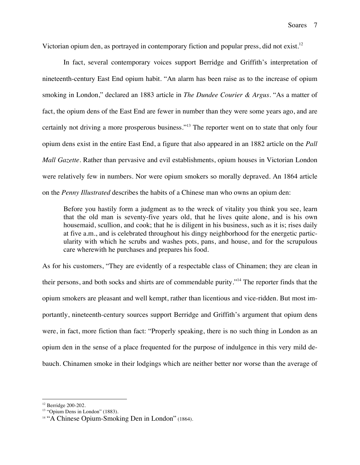Victorian opium den, as portrayed in contemporary fiction and popular press, did not exist.<sup>12</sup>

In fact, several contemporary voices support Berridge and Griffith's interpretation of nineteenth-century East End opium habit. "An alarm has been raise as to the increase of opium smoking in London," declared an 1883 article in *The Dundee Courier & Argus*. "As a matter of fact, the opium dens of the East End are fewer in number than they were some years ago, and are certainly not driving a more prosperous business."<sup>13</sup> The reporter went on to state that only four opium dens exist in the entire East End, a figure that also appeared in an 1882 article on the *Pall Mall Gazette*. Rather than pervasive and evil establishments, opium houses in Victorian London were relatively few in numbers. Nor were opium smokers so morally depraved. An 1864 article on the *Penny Illustrated* describes the habits of a Chinese man who owns an opium den:

Before you hastily form a judgment as to the wreck of vitality you think you see, learn that the old man is seventy-five years old, that he lives quite alone, and is his own housemaid, scullion, and cook; that he is diligent in his business, such as it is; rises daily at five a.m., and is celebrated throughout his dingy neighborhood for the energetic particularity with which he scrubs and washes pots, pans, and house, and for the scrupulous care wherewith he purchases and prepares his food.

As for his customers, "They are evidently of a respectable class of Chinamen; they are clean in their persons, and both socks and shirts are of commendable purity."14 The reporter finds that the opium smokers are pleasant and well kempt, rather than licentious and vice-ridden. But most importantly, nineteenth-century sources support Berridge and Griffith's argument that opium dens were, in fact, more fiction than fact: "Properly speaking, there is no such thing in London as an opium den in the sense of a place frequented for the purpose of indulgence in this very mild debauch. Chinamen smoke in their lodgings which are neither better nor worse than the average of

<sup>12</sup> Berridge 200-202.

<sup>&</sup>lt;sup>13</sup> "Opium Dens in London" (1883).

<sup>&</sup>lt;sup>14</sup> "A Chinese Opium-Smoking Den in London" (1864).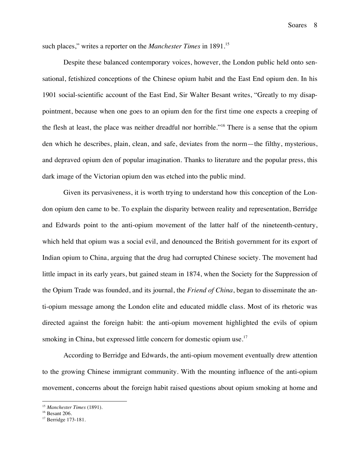such places," writes a reporter on the *Manchester Times* in 1891.<sup>15</sup>

Despite these balanced contemporary voices, however, the London public held onto sensational, fetishized conceptions of the Chinese opium habit and the East End opium den. In his 1901 social-scientific account of the East End, Sir Walter Besant writes, "Greatly to my disappointment, because when one goes to an opium den for the first time one expects a creeping of the flesh at least, the place was neither dreadful nor horrible."<sup>16</sup> There is a sense that the opium den which he describes, plain, clean, and safe, deviates from the norm—the filthy, mysterious, and depraved opium den of popular imagination. Thanks to literature and the popular press, this dark image of the Victorian opium den was etched into the public mind.

Given its pervasiveness, it is worth trying to understand how this conception of the London opium den came to be. To explain the disparity between reality and representation, Berridge and Edwards point to the anti-opium movement of the latter half of the nineteenth-century, which held that opium was a social evil, and denounced the British government for its export of Indian opium to China, arguing that the drug had corrupted Chinese society. The movement had little impact in its early years, but gained steam in 1874, when the Society for the Suppression of the Opium Trade was founded, and its journal, the *Friend of China*, began to disseminate the anti-opium message among the London elite and educated middle class. Most of its rhetoric was directed against the foreign habit: the anti-opium movement highlighted the evils of opium smoking in China, but expressed little concern for domestic opium use.<sup>17</sup>

According to Berridge and Edwards, the anti-opium movement eventually drew attention to the growing Chinese immigrant community. With the mounting influence of the anti-opium movement, concerns about the foreign habit raised questions about opium smoking at home and

<sup>15</sup> *Manchester Times* (1891).

<sup>&</sup>lt;sup>17</sup> Berridge 173-181.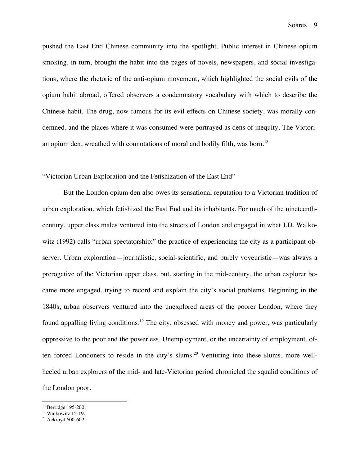pushed the East End Chinese community into the spotlight. Public interest in Chinese opium smoking, in turn, brought the habit into the pages of novels, newspapers, and social investigations, where the rhetoric of the anti-opium movement, which highlighted the social evils of the opium habit abroad, offered observers a condemnatory vocabulary with which to describe the Chinese habit. The drug, now famous for its evil effects on Chinese society, was morally condemned, and the places where it was consumed were portrayed as dens of inequity. The Victorian opium den, wreathed with connotations of moral and bodily filth, was born.<sup>18</sup>

### "Victorian Urban Exploration and the Fetishization of the East End"

But the London opium den also owes its sensational reputation to a Victorian tradition of urban exploration, which fetishized the East End and its inhabitants. For much of the nineteenthcentury, upper class males ventured into the streets of London and engaged in what J.D. Walkowitz (1992) calls "urban spectatorship:" the practice of experiencing the city as a participant observer. Urban exploration—journalistic, social-scientific, and purely voyeuristic—was always a prerogative of the Victorian upper class, but, starting in the mid-century, the urban explorer became more engaged, trying to record and explain the city's social problems. Beginning in the 1840s, urban observers ventured into the unexplored areas of the poorer London, where they found appalling living conditions.<sup>19</sup> The city, obsessed with money and power, was particularly oppressive to the poor and the powerless. Unemployment, or the uncertainty of employment, often forced Londoners to reside in the city's slums.<sup>20</sup> Venturing into these slums, more wellheeled urban explorers of the mid- and late-Victorian period chronicled the squalid conditions of the London poor.

 $18$  Berridge 195-200.<br> $19$  Walkowitz 15-19.

<sup>20</sup> Ackroyd 600-602.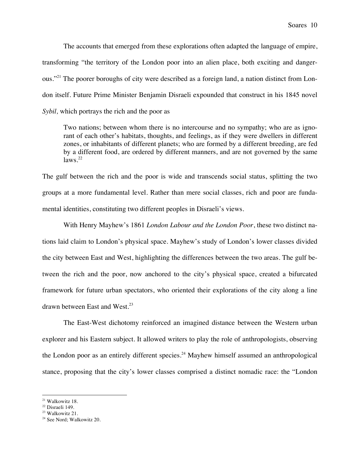The accounts that emerged from these explorations often adapted the language of empire, transforming "the territory of the London poor into an alien place, both exciting and dangerous."21 The poorer boroughs of city were described as a foreign land, a nation distinct from London itself. Future Prime Minister Benjamin Disraeli expounded that construct in his 1845 novel *Sybil,* which portrays the rich and the poor as

Two nations; between whom there is no intercourse and no sympathy; who are as ignorant of each other's habitats, thoughts, and feelings, as if they were dwellers in different zones, or inhabitants of different planets; who are formed by a different breeding, are fed by a different food, are ordered by different manners, and are not governed by the same  $\frac{\text{laws}}{\text{22}}$ 

The gulf between the rich and the poor is wide and transcends social status, splitting the two groups at a more fundamental level. Rather than mere social classes, rich and poor are fundamental identities, constituting two different peoples in Disraeli's views.

With Henry Mayhew's 1861 *London Labour and the London Poor*, these two distinct nations laid claim to London's physical space. Mayhew's study of London's lower classes divided the city between East and West, highlighting the differences between the two areas. The gulf between the rich and the poor, now anchored to the city's physical space, created a bifurcated framework for future urban spectators, who oriented their explorations of the city along a line drawn between East and West.<sup>23</sup>

The East-West dichotomy reinforced an imagined distance between the Western urban explorer and his Eastern subject. It allowed writers to play the role of anthropologists, observing the London poor as an entirely different species.<sup>24</sup> Mayhew himself assumed an anthropological stance, proposing that the city's lower classes comprised a distinct nomadic race: the "London

<sup>&</sup>lt;sup>21</sup> Walkowitz 18.<br><sup>22</sup> Disraeli 149.<br><sup>23</sup> Walkowitz 21.

<sup>24</sup> See Nord; Walkowitz 20.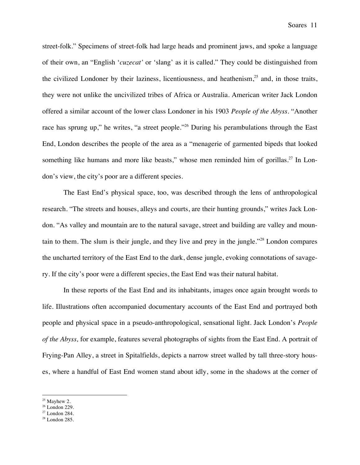street-folk." Specimens of street-folk had large heads and prominent jaws, and spoke a language of their own, an "English '*cuzecat'* or 'slang' as it is called." They could be distinguished from the civilized Londoner by their laziness, licentiousness, and heathenism, $25$  and, in those traits, they were not unlike the uncivilized tribes of Africa or Australia. American writer Jack London offered a similar account of the lower class Londoner in his 1903 *People of the Abyss*. "Another race has sprung up," he writes, "a street people."26 During his perambulations through the East End, London describes the people of the area as a "menagerie of garmented bipeds that looked something like humans and more like beasts," whose men reminded him of gorillas.<sup>27</sup> In London's view, the city's poor are a different species.

The East End's physical space, too, was described through the lens of anthropological research. "The streets and houses, alleys and courts, are their hunting grounds," writes Jack London. "As valley and mountain are to the natural savage, street and building are valley and mountain to them. The slum is their jungle, and they live and prey in the jungle."<sup>28</sup> London compares the uncharted territory of the East End to the dark, dense jungle, evoking connotations of savagery. If the city's poor were a different species, the East End was their natural habitat.

In these reports of the East End and its inhabitants, images once again brought words to life. Illustrations often accompanied documentary accounts of the East End and portrayed both people and physical space in a pseudo-anthropological, sensational light. Jack London's *People of the Abyss,* for example, features several photographs of sights from the East End. A portrait of Frying-Pan Alley, a street in Spitalfields, depicts a narrow street walled by tall three-story houses, where a handful of East End women stand about idly, some in the shadows at the corner of

<sup>&</sup>lt;sup>25</sup> Mayhew 2.<br><sup>26</sup> London 229.<br><sup>27</sup> London 284.

<sup>28</sup> London 285.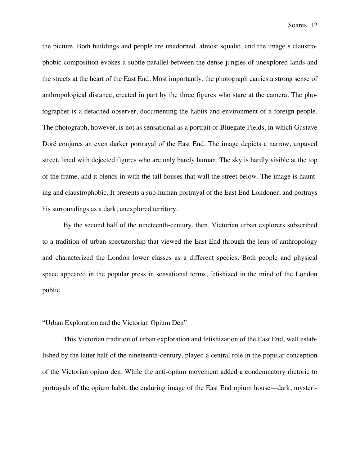the picture. Both buildings and people are unadorned, almost squalid, and the image's claustrophobic composition evokes a subtle parallel between the dense jungles of unexplored lands and the streets at the heart of the East End. Most importantly, the photograph carries a strong sense of anthropological distance, created in part by the three figures who stare at the camera. The photographer is a detached observer, documenting the habits and environment of a foreign people. The photograph, however, is not as sensational as a portrait of Bluegate Fields, in which Gustave Doré conjures an even darker portrayal of the East End. The image depicts a narrow, unpaved street, lined with dejected figures who are only barely human. The sky is hardly visible at the top of the frame, and it blends in with the tall houses that wall the street below. The image is haunting and claustrophobic. It presents a sub-human portrayal of the East End Londoner, and portrays his surroundings as a dark, unexplored territory.

By the second half of the nineteenth-century, then, Victorian urban explorers subscribed to a tradition of urban spectatorship that viewed the East End through the lens of anthropology and characterized the London lower classes as a different species. Both people and physical space appeared in the popular press in sensational terms, fetishized in the mind of the London public.

# "Urban Exploration and the Victorian Opium Den"

This Victorian tradition of urban exploration and fetishization of the East End, well established by the latter half of the nineteenth-century, played a central role in the popular conception of the Victorian opium den. While the anti-opium movement added a condemnatory rhetoric to portrayals of the opium habit, the enduring image of the East End opium house—dark, mysteri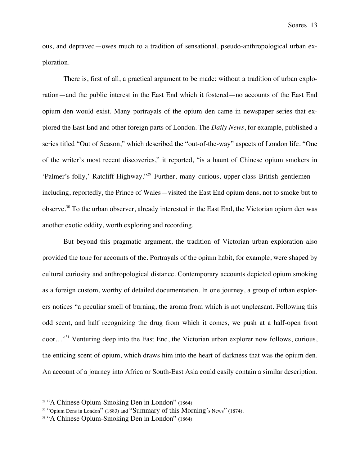ous, and depraved—owes much to a tradition of sensational, pseudo-anthropological urban exploration.

There is, first of all, a practical argument to be made: without a tradition of urban exploration—and the public interest in the East End which it fostered—no accounts of the East End opium den would exist. Many portrayals of the opium den came in newspaper series that explored the East End and other foreign parts of London. The *Daily News*, for example, published a series titled "Out of Season," which described the "out-of-the-way" aspects of London life. "One of the writer's most recent discoveries," it reported, "is a haunt of Chinese opium smokers in 'Palmer's-folly,' Ratcliff-Highway."29 Further, many curious, upper-class British gentlemen including, reportedly, the Prince of Wales—visited the East End opium dens, not to smoke but to observe.<sup>30</sup> To the urban observer, already interested in the East End, the Victorian opium den was another exotic oddity, worth exploring and recording.

But beyond this pragmatic argument, the tradition of Victorian urban exploration also provided the tone for accounts of the. Portrayals of the opium habit, for example, were shaped by cultural curiosity and anthropological distance. Contemporary accounts depicted opium smoking as a foreign custom, worthy of detailed documentation. In one journey, a group of urban explorers notices "a peculiar smell of burning, the aroma from which is not unpleasant. Following this odd scent, and half recognizing the drug from which it comes, we push at a half-open front door…"<sup>31</sup> Venturing deep into the East End, the Victorian urban explorer now follows, curious, the enticing scent of opium, which draws him into the heart of darkness that was the opium den. An account of a journey into Africa or South-East Asia could easily contain a similar description.

<sup>29</sup> "A Chinese Opium-Smoking Den in London" (1864).

<sup>&</sup>lt;sup>30</sup> "Opium Dens in London" (1883) and "Summary of this Morning's News" (1874).

<sup>&</sup>lt;sup>31</sup> "A Chinese Opium-Smoking Den in London" (1864).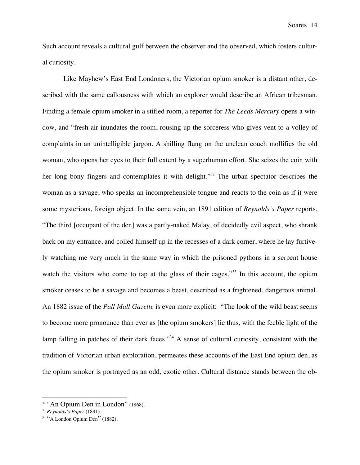Such account reveals a cultural gulf between the observer and the observed, which fosters cultural curiosity.

Like Mayhew's East End Londoners, the Victorian opium smoker is a distant other, described with the same callousness with which an explorer would describe an African tribesman. Finding a female opium smoker in a stifled room, a reporter for *The Leeds Mercury* opens a window, and "fresh air inundates the room, rousing up the sorceress who gives vent to a volley of complaints in an unintelligible jargon. A shilling flung on the unclean couch mollifies the old woman, who opens her eyes to their full extent by a superhuman effort. She seizes the coin with her long bony fingers and contemplates it with delight."<sup>32</sup> The urban spectator describes the woman as a savage, who speaks an incomprehensible tongue and reacts to the coin as if it were some mysterious, foreign object. In the same vein, an 1891 edition of *Reynolds's Paper* reports, "The third [occupant of the den] was a partly-naked Malay, of decidedly evil aspect, who shrank back on my entrance, and coiled himself up in the recesses of a dark corner, where he lay furtively watching me very much in the same way in which the prisoned pythons in a serpent house watch the visitors who come to tap at the glass of their cages."<sup>33</sup> In this account, the opium smoker ceases to be a savage and becomes a beast, described as a frightened, dangerous animal. An 1882 issue of the *Pall Mall Gazette* is even more explicit: "The look of the wild beast seems to become more pronounce than ever as [the opium smokers] lie thus, with the feeble light of the lamp falling in patches of their dark faces."<sup>34</sup> A sense of cultural curiosity, consistent with the tradition of Victorian urban exploration, permeates these accounts of the East End opium den, as the opium smoker is portrayed as an odd, exotic other. Cultural distance stands between the ob-

<sup>&</sup>lt;sup>32</sup> "An Opium Den in London" (1868).

<sup>33</sup> *Reynolds's Paper* (1891).

 $34$  "A London Opium Den" (1882).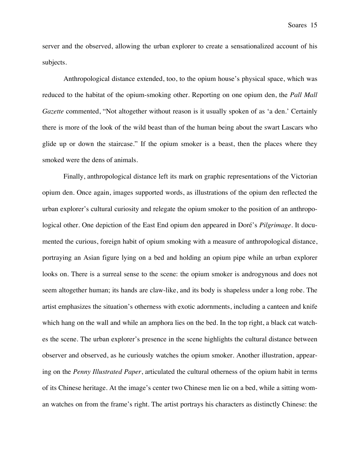server and the observed, allowing the urban explorer to create a sensationalized account of his subjects.

Anthropological distance extended, too, to the opium house's physical space, which was reduced to the habitat of the opium-smoking other. Reporting on one opium den, the *Pall Mall Gazette* commented, "Not altogether without reason is it usually spoken of as 'a den.' Certainly there is more of the look of the wild beast than of the human being about the swart Lascars who glide up or down the staircase." If the opium smoker is a beast, then the places where they smoked were the dens of animals.

Finally, anthropological distance left its mark on graphic representations of the Victorian opium den. Once again, images supported words, as illustrations of the opium den reflected the urban explorer's cultural curiosity and relegate the opium smoker to the position of an anthropological other. One depiction of the East End opium den appeared in Doré's *Pilgrimage*. It documented the curious, foreign habit of opium smoking with a measure of anthropological distance, portraying an Asian figure lying on a bed and holding an opium pipe while an urban explorer looks on. There is a surreal sense to the scene: the opium smoker is androgynous and does not seem altogether human; its hands are claw-like, and its body is shapeless under a long robe. The artist emphasizes the situation's otherness with exotic adornments, including a canteen and knife which hang on the wall and while an amphora lies on the bed. In the top right, a black cat watches the scene. The urban explorer's presence in the scene highlights the cultural distance between observer and observed, as he curiously watches the opium smoker. Another illustration, appearing on the *Penny Illustrated Paper*, articulated the cultural otherness of the opium habit in terms of its Chinese heritage. At the image's center two Chinese men lie on a bed, while a sitting woman watches on from the frame's right. The artist portrays his characters as distinctly Chinese: the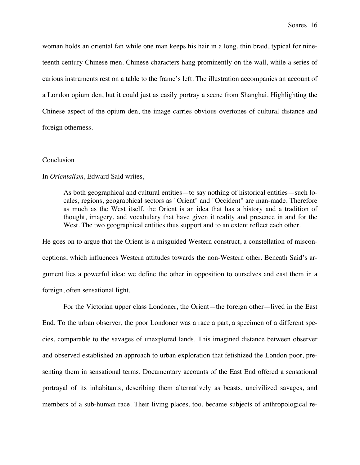woman holds an oriental fan while one man keeps his hair in a long, thin braid, typical for nineteenth century Chinese men. Chinese characters hang prominently on the wall, while a series of curious instruments rest on a table to the frame's left. The illustration accompanies an account of a London opium den, but it could just as easily portray a scene from Shanghai. Highlighting the Chinese aspect of the opium den, the image carries obvious overtones of cultural distance and foreign otherness.

#### Conclusion

#### In *Orientalism*, Edward Said writes,

As both geographical and cultural entities—to say nothing of historical entities—such locales, regions, geographical sectors as "Orient" and "Occident" are man-made. Therefore as much as the West itself, the Orient is an idea that has a history and a tradition of thought, imagery, and vocabulary that have given it reality and presence in and for the West. The two geographical entities thus support and to an extent reflect each other.

He goes on to argue that the Orient is a misguided Western construct, a constellation of misconceptions, which influences Western attitudes towards the non-Western other. Beneath Said's argument lies a powerful idea: we define the other in opposition to ourselves and cast them in a foreign, often sensational light.

For the Victorian upper class Londoner, the Orient—the foreign other—lived in the East End. To the urban observer, the poor Londoner was a race a part, a specimen of a different species, comparable to the savages of unexplored lands. This imagined distance between observer and observed established an approach to urban exploration that fetishized the London poor, presenting them in sensational terms. Documentary accounts of the East End offered a sensational portrayal of its inhabitants, describing them alternatively as beasts, uncivilized savages, and members of a sub-human race. Their living places, too, became subjects of anthropological re-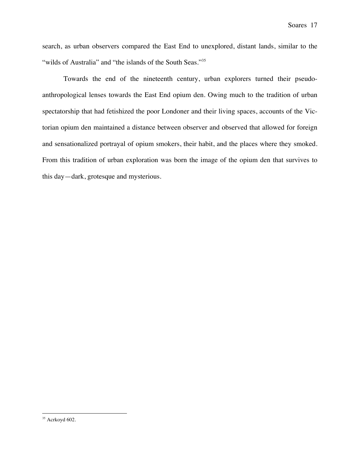search, as urban observers compared the East End to unexplored, distant lands, similar to the "wilds of Australia" and "the islands of the South Seas."<sup>35</sup>

Towards the end of the nineteenth century, urban explorers turned their pseudoanthropological lenses towards the East End opium den. Owing much to the tradition of urban spectatorship that had fetishized the poor Londoner and their living spaces, accounts of the Victorian opium den maintained a distance between observer and observed that allowed for foreign and sensationalized portrayal of opium smokers, their habit, and the places where they smoked. From this tradition of urban exploration was born the image of the opium den that survives to this day—dark, grotesque and mysterious.

<sup>35</sup> Acrkoyd 602.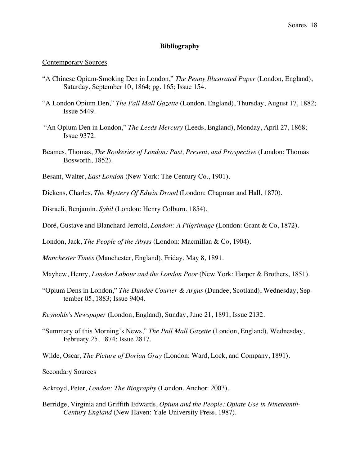# **Bibliography**

## Contemporary Sources

- "A Chinese Opium-Smoking Den in London," *The Penny Illustrated Paper* (London, England), Saturday, September 10, 1864; pg. 165; Issue 154.
- "A London Opium Den," *The Pall Mall Gazette* (London, England), Thursday, August 17, 1882; Issue 5449.
- "An Opium Den in London," *The Leeds Mercury* (Leeds, England), Monday, April 27, 1868; Issue 9372.
- Beames, Thomas, *The Rookeries of London: Past, Present, and Prospective* (London: Thomas Bosworth, 1852).
- Besant, Walter, *East London* (New York: The Century Co., 1901).
- Dickens, Charles, *The Mystery Of Edwin Drood* (London: Chapman and Hall, 1870).
- Disraeli, Benjamin, *Sybil* (London: Henry Colburn, 1854).
- Doré, Gustave and Blanchard Jerrold, *London: A Pilgrimage* (London: Grant & Co, 1872).

London, Jack, *The People of the Abyss* (London: Macmillan & Co, 1904).

- *Manchester Times* (Manchester, England), Friday, May 8, 1891.
- Mayhew, Henry, *London Labour and the London Poor* (New York: Harper & Brothers, 1851).
- "Opium Dens in London," *The Dundee Courier & Argus* (Dundee, Scotland), Wednesday, September 05, 1883; Issue 9404.
- *Reynolds's Newspaper* (London, England), Sunday, June 21, 1891; Issue 2132.
- "Summary of this Morning's News," *The Pall Mall Gazette* (London, England), Wednesday, February 25, 1874; Issue 2817.
- Wilde, Oscar, *The Picture of Dorian Gray* (London: Ward, Lock, and Company, 1891).

## Secondary Sources

Ackroyd, Peter, *London: The Biography* (London, Anchor: 2003).

Berridge, Virginia and Griffith Edwards, *Opium and the People: Opiate Use in Nineteenth-Century England* (New Haven: Yale University Press, 1987).